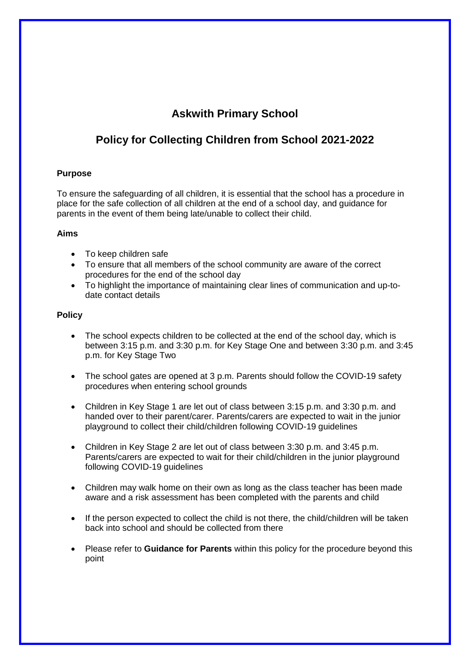# **Askwith Primary School**

## **Policy for Collecting Children from School 2021-2022**

### **Purpose**

To ensure the safeguarding of all children, it is essential that the school has a procedure in place for the safe collection of all children at the end of a school day, and guidance for parents in the event of them being late/unable to collect their child.

#### **Aims**

- To keep children safe
- To ensure that all members of the school community are aware of the correct procedures for the end of the school day
- To highlight the importance of maintaining clear lines of communication and up-todate contact details

#### **Policy**

- The school expects children to be collected at the end of the school day, which is between 3:15 p.m. and 3:30 p.m. for Key Stage One and between 3:30 p.m. and 3:45 p.m. for Key Stage Two
- The school gates are opened at 3 p.m. Parents should follow the COVID-19 safety procedures when entering school grounds
- Children in Key Stage 1 are let out of class between 3:15 p.m. and 3:30 p.m. and handed over to their parent/carer. Parents/carers are expected to wait in the junior playground to collect their child/children following COVID-19 guidelines
- Children in Key Stage 2 are let out of class between 3:30 p.m. and 3:45 p.m. Parents/carers are expected to wait for their child/children in the junior playground following COVID-19 guidelines
- Children may walk home on their own as long as the class teacher has been made aware and a risk assessment has been completed with the parents and child
- If the person expected to collect the child is not there, the child/children will be taken back into school and should be collected from there
- Please refer to **Guidance for Parents** within this policy for the procedure beyond this point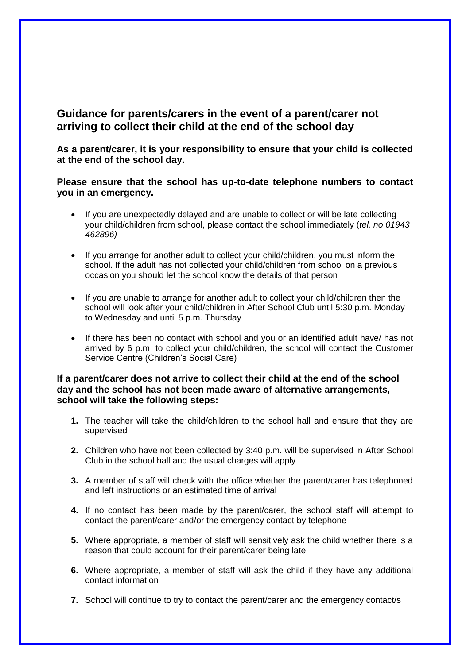## **Guidance for parents/carers in the event of a parent/carer not arriving to collect their child at the end of the school day**

**As a parent/carer, it is your responsibility to ensure that your child is collected at the end of the school day.**

## **Please ensure that the school has up-to-date telephone numbers to contact you in an emergency.**

- If you are unexpectedly delayed and are unable to collect or will be late collecting your child/children from school, please contact the school immediately (*tel. no 01943 462896)*
- If you arrange for another adult to collect your child/children, you must inform the school. If the adult has not collected your child/children from school on a previous occasion you should let the school know the details of that person
- If you are unable to arrange for another adult to collect your child/children then the school will look after your child/children in After School Club until 5:30 p.m. Monday to Wednesday and until 5 p.m. Thursday
- If there has been no contact with school and you or an identified adult have/ has not arrived by 6 p.m. to collect your child/children, the school will contact the Customer Service Centre (Children's Social Care)

## **If a parent/carer does not arrive to collect their child at the end of the school day and the school has not been made aware of alternative arrangements, school will take the following steps:**

- **1.** The teacher will take the child/children to the school hall and ensure that they are supervised
- **2.** Children who have not been collected by 3:40 p.m. will be supervised in After School Club in the school hall and the usual charges will apply
- **3.** A member of staff will check with the office whether the parent/carer has telephoned and left instructions or an estimated time of arrival
- **4.** If no contact has been made by the parent/carer, the school staff will attempt to contact the parent/carer and/or the emergency contact by telephone
- **5.** Where appropriate, a member of staff will sensitively ask the child whether there is a reason that could account for their parent/carer being late
- **6.** Where appropriate, a member of staff will ask the child if they have any additional contact information
- **7.** School will continue to try to contact the parent/carer and the emergency contact/s